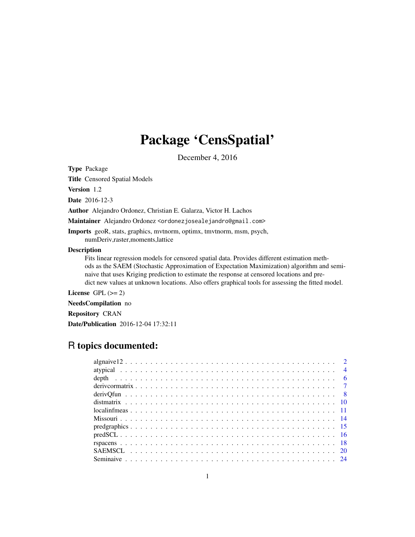## Package 'CensSpatial'

December 4, 2016

Type Package

Title Censored Spatial Models

Version 1.2

Date 2016-12-3

Author Alejandro Ordonez, Christian E. Galarza, Victor H. Lachos

Maintainer Alejandro Ordonez <ordonezjosealejandro@gmail.com>

Imports geoR, stats, graphics, mvtnorm, optimx, tmvtnorm, msm, psych, numDeriv,raster,moments,lattice

## Description

Fits linear regression models for censored spatial data. Provides different estimation methods as the SAEM (Stochastic Approximation of Expectation Maximization) algorithm and seminaive that uses Kriging prediction to estimate the response at censored locations and predict new values at unknown locations. Also offers graphical tools for assessing the fitted model.

License GPL  $(>= 2)$ 

NeedsCompilation no

Repository CRAN

Date/Publication 2016-12-04 17:32:11

## R topics documented: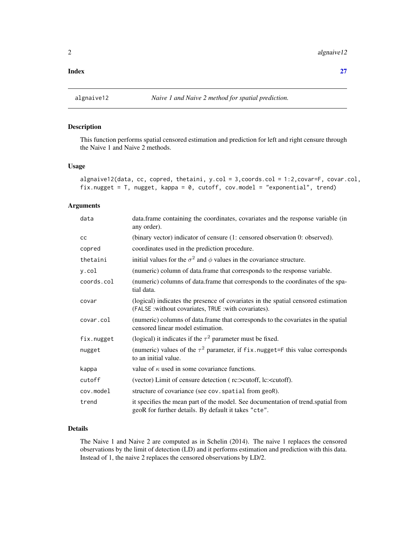#### <span id="page-1-0"></span>**Index** [27](#page-26-0)

## Description

This function performs spatial censored estimation and prediction for left and right censure through the Naive 1 and Naive 2 methods.

#### Usage

```
algnaive12(data, cc, copred, thetaini, y.col = 3,coords.col = 1:2,covar=F, covar.col,
fix.nugget = T, nugget, kappa = 0, cutoff, cov.model = "exponential", trend)
```
## Arguments

| data       | data. frame containing the coordinates, covariates and the response variable (in<br>any order).                                           |
|------------|-------------------------------------------------------------------------------------------------------------------------------------------|
| <b>CC</b>  | (binary vector) indicator of censure (1: censored observation 0: observed).                                                               |
| copred     | coordinates used in the prediction procedure.                                                                                             |
| thetaini   | initial values for the $\sigma^2$ and $\phi$ values in the covariance structure.                                                          |
| y.col      | (numeric) column of data.frame that corresponds to the response variable.                                                                 |
| coords.col | (numeric) columns of data.frame that corresponds to the coordinates of the spa-<br>tial data.                                             |
| covar      | (logical) indicates the presence of covariates in the spatial censored estimation<br>(FALSE: without covariates, TRUE: with covariates).  |
| covar.col  | (numeric) columns of data.frame that corresponds to the covariates in the spatial<br>censored linear model estimation.                    |
| fix.nugget | (logical) it indicates if the $\tau^2$ parameter must be fixed.                                                                           |
| nugget     | (numeric) values of the $\tau^2$ parameter, if fix. nugget=F this value corresponds<br>to an initial value.                               |
| kappa      | value of $\kappa$ used in some covariance functions.                                                                                      |
| cutoff     | (vector) Limit of censure detection (rc:>cutoff, lc: <cutoff).< td=""></cutoff).<>                                                        |
| cov.model  | structure of covariance (see cov. spatial from geoR).                                                                                     |
| trend      | it specifies the mean part of the model. See documentation of trend, spatial from<br>geoR for further details. By default it takes "cte". |

## Details

The Naive 1 and Naive 2 are computed as in Schelin (2014). The naive 1 replaces the censored observations by the limit of detection (LD) and it performs estimation and prediction with this data. Instead of 1, the naive 2 replaces the censored observations by LD/2.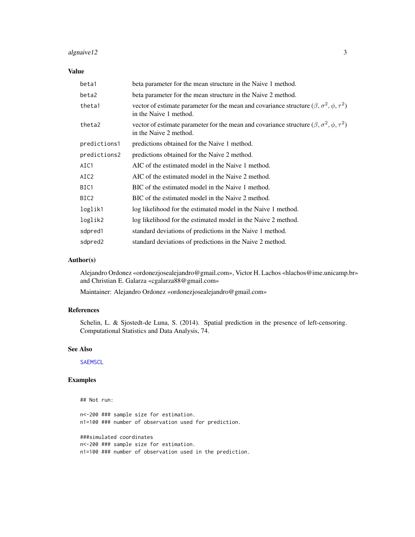## <span id="page-2-0"></span>algnaive 12 3

## Value

| beta1        | beta parameter for the mean structure in the Naive 1 method.                                                                              |
|--------------|-------------------------------------------------------------------------------------------------------------------------------------------|
| beta2        | beta parameter for the mean structure in the Naive 2 method.                                                                              |
| theta1       | vector of estimate parameter for the mean and covariance structure ( $\beta$ , $\sigma^2$ , $\phi$ , $\tau^2$ )<br>in the Naive 1 method. |
| theta2       | vector of estimate parameter for the mean and covariance structure ( $\beta$ , $\sigma^2$ , $\phi$ , $\tau^2$ )<br>in the Naive 2 method. |
| predictions1 | predictions obtained for the Naive 1 method.                                                                                              |
| predictions2 | predictions obtained for the Naive 2 method.                                                                                              |
| AIC1         | AIC of the estimated model in the Naive 1 method.                                                                                         |
| AIC2         | AIC of the estimated model in the Naive 2 method.                                                                                         |
| BIC1         | BIC of the estimated model in the Naive 1 method.                                                                                         |
| BIC2         | BIC of the estimated model in the Naive 2 method.                                                                                         |
| loglik1      | log likelihood for the estimated model in the Naive 1 method.                                                                             |
| loglik2      | log likelihood for the estimated model in the Naive 2 method.                                                                             |
| sdpred1      | standard deviations of predictions in the Naive 1 method.                                                                                 |
| sdpred2      | standard deviations of predictions in the Naive 2 method.                                                                                 |

#### Author(s)

Alejandro Ordonez «ordonezjosealejandro@gmail.com», Victor H. Lachos «hlachos@ime.unicamp.br» and Christian E. Galarza «cgalarza88@gmail.com»

Maintainer: Alejandro Ordonez «ordonezjosealejandro@gmail.com»

## References

Schelin, L. & Sjostedt-de Luna, S. (2014). Spatial prediction in the presence of left-censoring. Computational Statistics and Data Analysis, 74.

#### See Also

**[SAEMSCL](#page-19-1)** 

## Examples

## Not run: n<-200 ### sample size for estimation. n1=100 ### number of observation used for prediction. ###simulated coordinates n<-200 ### sample size for estimation. n1=100 ### number of observation used in the prediction.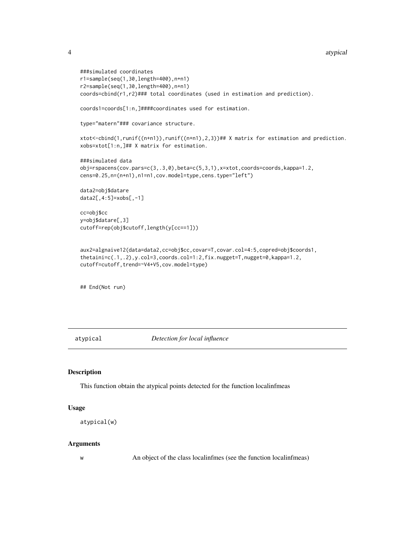```
4 atypical and the contract of the contract of the contract of the contract of the contract of the contract of the contract of the contract of the contract of the contract of the contract of the contract of the contract of
```

```
###simulated coordinates
r1=sample(seq(1,30,length=400),n+n1)
r2=sample(seq(1,30,length=400),n+n1)
coords=cbind(r1,r2)### total coordinates (used in estimation and prediction).
coords1=coords[1:n,]####coordinates used for estimation.
type="matern"### covariance structure.
xtot<-cbind(1,runif((n+n1)),runif((n+n1),2,3))## X matrix for estimation and prediction.
xobs=xtot[1:n,]## X matrix for estimation.
###simulated data
obj=rspacens(cov.pars=c(3,.3,0),beta=c(5,3,1),x=xtot,coords=coords,kappa=1.2,
cens=0.25,n=(n+n1),n1=n1,cov.model=type,cens.type="left")
data2=obj$datare
data2[,4:5]=xobs[,-1]
cc=obj$cc
y=obj$datare[,3]
cutoff=rep(obj$cutoff,length(y[cc==1]))
aux2=algnaive12(data=data2,cc=obj$cc,covar=T,covar.col=4:5,copred=obj$coords1,
thetaini=c(.1,.2),y.col=3,coords.col=1:2,fix.nugget=T,nugget=0,kappa=1.2,
cutoff=cutoff,trend=~V4+V5,cov.model=type)
```
## End(Not run)

atypical *Detection for local influence*

#### Description

This function obtain the atypical points detected for the function localinfmeas

#### Usage

```
atypical(w)
```
## Arguments

w An object of the class local infimes (see the function local infimeas)

<span id="page-3-0"></span>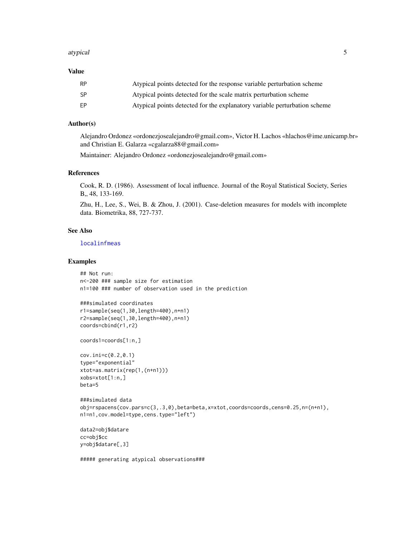#### <span id="page-4-0"></span>atypical 5

#### Value

| <b>RP</b> | Atypical points detected for the response variable perturbation scheme    |
|-----------|---------------------------------------------------------------------------|
| -SP       | Atypical points detected for the scale matrix perturbation scheme         |
| FP        | Atypical points detected for the explanatory variable perturbation scheme |

## Author(s)

Alejandro Ordonez «ordonezjosealejandro@gmail.com», Victor H. Lachos «hlachos@ime.unicamp.br» and Christian E. Galarza «cgalarza88@gmail.com»

Maintainer: Alejandro Ordonez «ordonezjosealejandro@gmail.com»

#### References

Cook, R. D. (1986). Assessment of local influence. Journal of the Royal Statistical Society, Series B., 48, 133-169.

Zhu, H., Lee, S., Wei, B. & Zhou, J. (2001). Case-deletion measures for models with incomplete data. Biometrika, 88, 727-737.

#### See Also

[localinfmeas](#page-10-1)

## Examples

```
## Not run:
n<-200 ### sample size for estimation
n1=100 ### number of observation used in the prediction
```

```
###simulated coordinates
r1=sample(seq(1,30,length=400),n+n1)
r2=sample(seq(1,30,length=400),n+n1)
coords=cbind(r1,r2)
```
coords1=coords[1:n,]

```
cov.ini=c(0.2,0.1)
type="exponential"
xtot=as.matrix(rep(1,(n+n1)))
xobs=xtot[1:n,]
beta=5
```

```
###simulated data
obj=rspacens(cov.pars=c(3,.3,0),beta=beta,x=xtot,coords=coords,cens=0.25,n=(n+n1),
n1=n1,cov.model=type,cens.type="left")
```

```
data2=obj$datare
cc=obj$cc
y=obj$datare[,3]
```
##### generating atypical observations###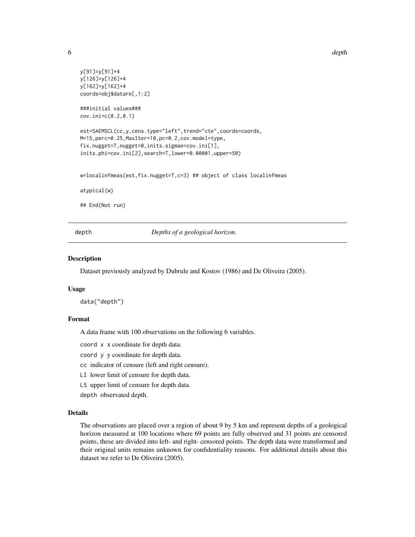```
y[91]=y[91]+4
y[126]=y[126]+4
y[162]=y[162]+4
coords=obj$datare[,1:2]
###initial values###
cov.ini=c(0.2,0.1)
est=SAEMSCL(cc,y,cens.type="left",trend="cte",coords=coords,
M=15,perc=0.25,MaxIter=10,pc=0.2,cov.model=type,
fix.nugget=T,nugget=0,inits.sigmae=cov.ini[1],
inits.phi=cov.ini[2],search=T,lower=0.00001,upper=50)
w=localinfmeas(est,fix.nugget=T,c=3) ## object of class localinfmeas
atypical(w)
## End(Not run)
```
depth *Depths of a geological horizon.* 

#### **Description**

Dataset previously analyzed by Dubrule and Kostov (1986) and De Oliveira (2005).

#### Usage

data("depth")

## Format

A data frame with 100 observations on the following 6 variables.

coord x x coordinate for depth data.

coord y y coordinate for depth data.

cc indicator of censure (left and right censure).

LI lower limit of censure for depth data.

LS upper limit of censure for depth data.

depth observated depth.

#### Details

The observations are placed over a region of about 9 by 5 km and represent depths of a geological horizon measured at 100 locations where 69 points are fully observed and 31 points are censored points, these are divided into left- and right- censored points. The depth data were transformed and their original units remains unknown for confidentiality reasons. For additional details about this dataset we refer to De Oliveira (2005).

<span id="page-5-0"></span>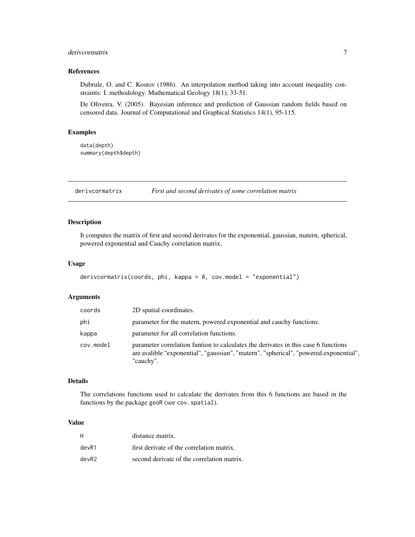## <span id="page-6-0"></span>derivcormatrix 7

## References

Dubrule, O. and C. Kostov (1986). An interpolation method taking into account inequality constraints: I. methodology. Mathematical Geology 18(1), 33-51.

De Oliveira, V. (2005). Bayesian inference and prediction of Gaussian random fields based on censored data. Journal of Computational and Graphical Statistics 14(1), 95-115.

## Examples

data(depth) summary(depth\$depth)

derivcormatrix *First and second derivates of some correlation matrix*

#### Description

It computes the matrix of first and second derivates for the exponential, gaussian, matern, spherical, powered exponential and Cauchy correlation matrix.

## Usage

```
derivcormatrix(coords, phi, kappa = 0, cov.model = "exponential")
```
#### Arguments

| coords    | 2D spatial coordinates.                                                                                                                                                                  |
|-----------|------------------------------------------------------------------------------------------------------------------------------------------------------------------------------------------|
| phi       | parameter for the matern, powered exponential and cauchy functions.                                                                                                                      |
| kappa     | parameter for all correlation functions.                                                                                                                                                 |
| cov.model | parameter correlation funtion to calculates the derivates in this case 6 functions<br>are avalible "exponential", "gaussian", "matern", "spherical", "powered.exponential",<br>"cauchy". |

#### Details

The correlations functions used to calculate the derivates from this 6 functions are based in the functions by the package geoR (see cov. spatial).

#### Value

| н      | distance matrix.                           |
|--------|--------------------------------------------|
| devR1  | first derivate of the correlation matrix.  |
| devR2. | second derivate of the correlation matrix. |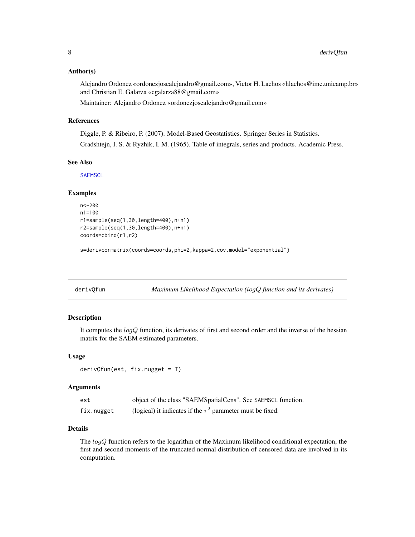#### <span id="page-7-0"></span>Author(s)

Alejandro Ordonez «ordonezjosealejandro@gmail.com», Victor H. Lachos «hlachos@ime.unicamp.br» and Christian E. Galarza «cgalarza88@gmail.com»

Maintainer: Alejandro Ordonez «ordonezjosealejandro@gmail.com»

## References

Diggle, P. & Ribeiro, P. (2007). Model-Based Geostatistics. Springer Series in Statistics. Gradshtejn, I. S. & Ryzhik, I. M. (1965). Table of integrals, series and products. Academic Press.

#### See Also

**[SAEMSCL](#page-19-1)** 

#### Examples

```
n<-200
n1=100
r1=sample(seq(1,30,length=400),n+n1)
r2=sample(seq(1,30,length=400),n+n1)
coords=cbind(r1,r2)
```
s=derivcormatrix(coords=coords,phi=2,kappa=2,cov.model="exponential")

<span id="page-7-1"></span>

derivQfun *Maximum Likelihood Expectation (*logQ *function and its derivates)*

## Description

It computes the  $logQ$  function, its derivates of first and second order and the inverse of the hessian matrix for the SAEM estimated parameters.

#### Usage

```
derivQfun(est, fix.nugget = T)
```
## Arguments

| est        | object of the class "SAEMSpatialCens". See SAEMSCL function.    |
|------------|-----------------------------------------------------------------|
| fix.nugget | (logical) it indicates if the $\tau^2$ parameter must be fixed. |

## Details

The  $logQ$  function refers to the logarithm of the Maximum likelihood conditional expectation, the first and second moments of the truncated normal distribution of censored data are involved in its computation.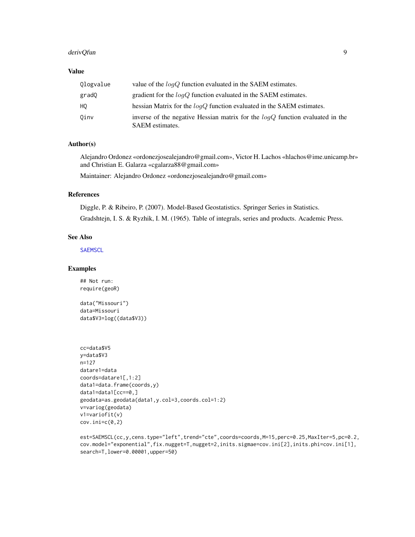#### derivQfun 99 and 2008 and 2009 and 2009 and 2009 and 2009 and 2009 and 2009 and 2009 and 2009 and 2009 and 200

## Value

| Ologvalue | value of the $logQ$ function evaluated in the SAEM estimates.                                      |
|-----------|----------------------------------------------------------------------------------------------------|
| gradQ     | gradient for the $logQ$ function evaluated in the SAEM estimates.                                  |
| HO        | hessian Matrix for the $logQ$ function evaluated in the SAEM estimates.                            |
| Oinv      | inverse of the negative Hessian matrix for the $logQ$ function evaluated in the<br>SAEM estimates. |

## Author(s)

Alejandro Ordonez «ordonezjosealejandro@gmail.com», Victor H. Lachos «hlachos@ime.unicamp.br» and Christian E. Galarza «cgalarza88@gmail.com»

Maintainer: Alejandro Ordonez «ordonezjosealejandro@gmail.com»

## References

Diggle, P. & Ribeiro, P. (2007). Model-Based Geostatistics. Springer Series in Statistics. Gradshtejn, I. S. & Ryzhik, I. M. (1965). Table of integrals, series and products. Academic Press.

#### See Also

**[SAEMSCL](#page-19-1)** 

## Examples

## Not run: require(geoR)

data("Missouri") data=Missouri data\$V3=log((data\$V3))

```
cc=data$V5
y=data$V3
n=127
datare1=data
coords=datare1[,1:2]
data1=data.frame(coords,y)
data1=data1[cc==0,]
geodata=as.geodata(data1,y.col=3,coords.col=1:2)
v=variog(geodata)
v1=variofit(v)
cov.inic(0,2)
```

```
est=SAEMSCL(cc,y,cens.type="left",trend="cte",coords=coords,M=15,perc=0.25,MaxIter=5,pc=0.2,
cov.model="exponential",fix.nugget=T,nugget=2,inits.sigmae=cov.ini[2],inits.phi=cov.ini[1],
search=T,lower=0.00001,upper=50)
```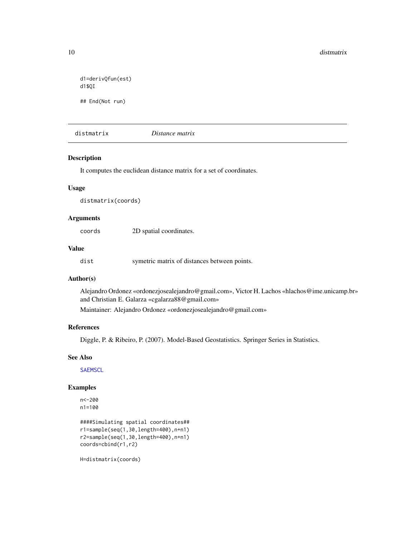```
d1=derivQfun(est)
d1$QI
## End(Not run)
```
distmatrix *Distance matrix*

#### Description

It computes the euclidean distance matrix for a set of coordinates.

## Usage

distmatrix(coords)

#### Arguments

coords 2D spatial coordinates.

#### Value

dist symetric matrix of distances between points.

#### Author(s)

Alejandro Ordonez «ordonezjosealejandro@gmail.com», Victor H. Lachos «hlachos@ime.unicamp.br» and Christian E. Galarza «cgalarza88@gmail.com»

Maintainer: Alejandro Ordonez «ordonezjosealejandro@gmail.com»

## References

Diggle, P. & Ribeiro, P. (2007). Model-Based Geostatistics. Springer Series in Statistics.

## See Also

**[SAEMSCL](#page-19-1)** 

## Examples

```
n<-200
n1=100
```

```
####Simulating spatial coordinates##
r1=sample(seq(1,30,length=400),n+n1)
r2=sample(seq(1,30,length=400),n+n1)
coords=cbind(r1,r2)
```
H=distmatrix(coords)

<span id="page-9-0"></span>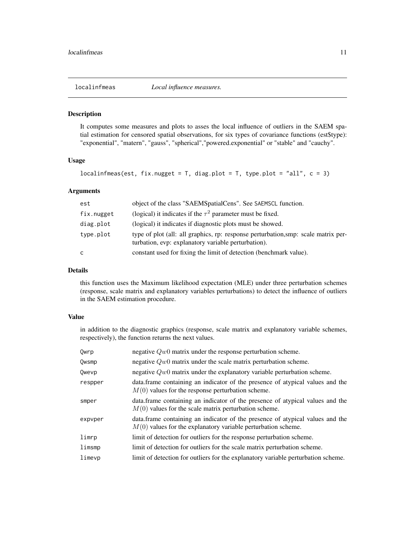<span id="page-10-1"></span><span id="page-10-0"></span>

#### Description

It computes some measures and plots to asses the local influence of outliers in the SAEM spatial estimation for censored spatial observations, for six types of covariance functions (est\$type): "exponential", "matern", "gauss", "spherical","powered.exponential" or "stable" and "cauchy".

#### Usage

```
localinfmeas(est, fix.nugget = T, diag.plot = T, type.plot = "all", c = 3)
```
## Arguments

| est        | object of the class "SAEMSpatialCens". See SAEMSCL function.                                                                              |
|------------|-------------------------------------------------------------------------------------------------------------------------------------------|
| fix.nugget | (logical) it indicates if the $\tau^2$ parameter must be fixed.                                                                           |
| diag.plot  | (logical) it indicates if diagnostic plots must be showed.                                                                                |
| type.plot  | type of plot (all: all graphics, rp: response perturbation, smp: scale matrix per-<br>turbation, evp: explanatory variable perturbation). |
| C          | constant used for fixing the limit of detection (benchmark value).                                                                        |

#### Details

this function uses the Maximum likelihood expectation (MLE) under three perturbation schemes (response, scale matrix and explanatory variables perturbations) to detect the influence of outliers in the SAEM estimation procedure.

#### Value

in addition to the diagnostic graphics (response, scale matrix and explanatory variable schemes, respectively), the function returns the next values.

| Qwrp    | negative $Qw0$ matrix under the response perturbation scheme.                                                                                     |
|---------|---------------------------------------------------------------------------------------------------------------------------------------------------|
| Qwsmp   | negative $Qw0$ matrix under the scale matrix perturbation scheme.                                                                                 |
| Owevp   | negative $Qw0$ matrix under the explanatory variable perturbation scheme.                                                                         |
| respper | data.frame containing an indicator of the presence of atypical values and the<br>$M(0)$ values for the response perturbation scheme.              |
| smper   | data. frame containing an indicator of the presence of atypical values and the<br>$M(0)$ values for the scale matrix perturbation scheme.         |
| expvper | data. frame containing an indicator of the presence of atypical values and the<br>$M(0)$ values for the explanatory variable perturbation scheme. |
| limrp   | limit of detection for outliers for the response perturbation scheme.                                                                             |
| limsmp  | limit of detection for outliers for the scale matrix perturbation scheme.                                                                         |
| limevp  | limit of detection for outliers for the explanatory variable perturbation scheme.                                                                 |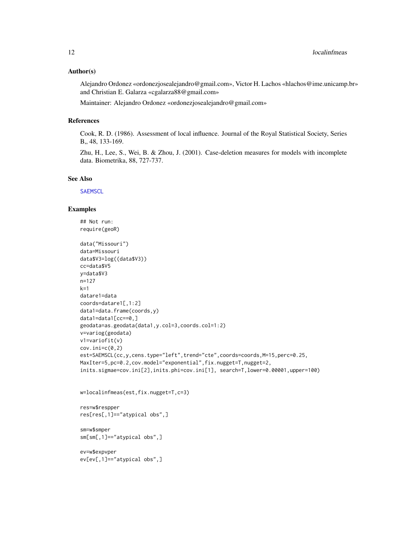#### <span id="page-11-0"></span>Author(s)

Alejandro Ordonez «ordonezjosealejandro@gmail.com», Victor H. Lachos «hlachos@ime.unicamp.br» and Christian E. Galarza «cgalarza88@gmail.com»

Maintainer: Alejandro Ordonez «ordonezjosealejandro@gmail.com»

## References

Cook, R. D. (1986). Assessment of local influence. Journal of the Royal Statistical Society, Series B,, 48, 133-169.

Zhu, H., Lee, S., Wei, B. & Zhou, J. (2001). Case-deletion measures for models with incomplete data. Biometrika, 88, 727-737.

#### See Also

**[SAEMSCL](#page-19-1)** 

#### Examples

## Not run: require(geoR)

```
data("Missouri")
data=Missouri
data$V3=log((data$V3))
cc=data$V5
y=data$V3
n=127
k=1datare1=data
coords=datare1[,1:2]
data1=data.frame(coords,y)
data1=data1[cc==0,]
geodata=as.geodata(data1,y.col=3,coords.col=1:2)
v=variog(geodata)
v1=variofit(v)
cov.ini=c(0,2)
est=SAEMSCL(cc,y,cens.type="left",trend="cte",coords=coords,M=15,perc=0.25,
MaxIter=5,pc=0.2,cov.model="exponential",fix.nugget=T,nugget=2,
inits.sigmae=cov.ini[2],inits.phi=cov.ini[1], search=T,lower=0.00001,upper=100)
w=localinfmeas(est,fix.nugget=T,c=3)
```
res=w\$respper

res[res[,1]=="atypical obs",]

sm=w\$smper sm[sm[,1]=="atypical obs",]

ev=w\$expvper ev[ev[,1]=="atypical obs",]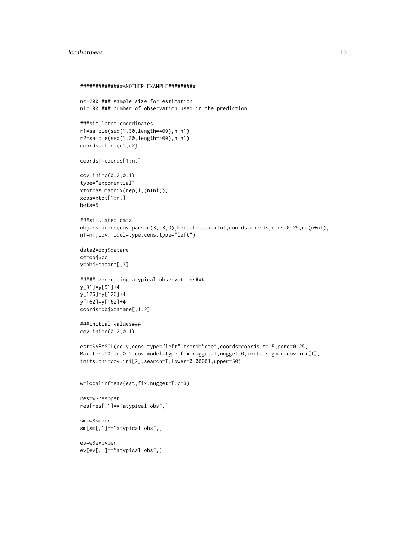#### localinfmeas and the set of the set of the set of the set of the set of the set of the set of the set of the set of the set of the set of the set of the set of the set of the set of the set of the set of the set of the set

```
##############ANOTHER EXAMPLE#########
n<-200 ### sample size for estimation
n1=100 ### number of observation used in the prediction
###simulated coordinates
r1=sample(seq(1,30,length=400),n+n1)
r2=sample(seq(1,30,length=400),n+n1)
coords=cbind(r1,r2)
coords1=coords[1:n,]
cov.ini=c(0.2,0.1)
type="exponential"
xtot=as.matrix(rep(1,(n+n1)))
xobs=xtot[1:n,]
beta=5
###simulated data
obj=rspacens(cov.pars=c(3,.3,0),beta=beta,x=xtot,coords=coords,cens=0.25,n=(n+n1),
n1=n1,cov.model=type,cens.type="left")
data2=obj$datare
cc=obj$cc
y=obj$datare[,3]
##### generating atypical observations###
y[91]=y[91]+4
y[126]=y[126]+4
y[162]=y[162]+4
coords=obj$datare[,1:2]
###initial values###
cov.ini=c(0.2,0.1)
est=SAEMSCL(cc,y,cens.type="left",trend="cte",coords=coords,M=15,perc=0.25,
MaxIter=10,pc=0.2,cov.model=type,fix.nugget=T,nugget=0,inits.sigmae=cov.ini[1],
inits.phi=cov.ini[2],search=T,lower=0.00001,upper=50)
w=localinfmeas(est,fix.nugget=T,c=3)
res=w$respper
res[res[,1]=="atypical obs",]
sm=w$smper
sm[sm[,1]=="atypical obs",]
ev=w$expvper
ev[ev[,1]=="atypical obs",]
```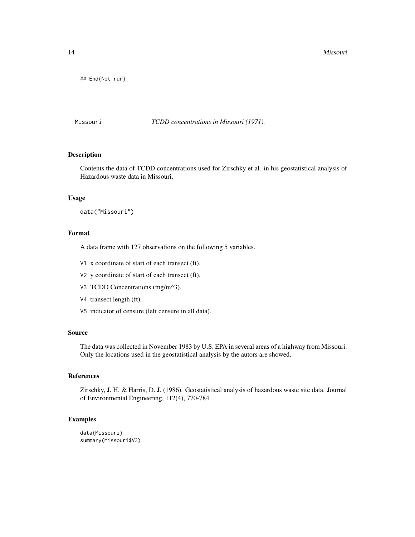<span id="page-13-0"></span>14 Missouri

## End(Not run)

Missouri *TCDD concentrations in Missouri (1971).*

## Description

Contents the data of TCDD concentrations used for Zirschky et al. in his geostatistical analysis of Hazardous waste data in Missouri.

#### Usage

data("Missouri")

## Format

A data frame with 127 observations on the following 5 variables.

- V1 x coordinate of start of each transect (ft).
- V2 y coordinate of start of each transect (ft).
- V3 TCDD Concentrations (mg/m^3).
- V4 transect length (ft).
- V5 indicator of censure (left censure in all data).

## Source

The data was collected in November 1983 by U.S. EPA in several areas of a highway from Missouri. Only the locations used in the geostatistical analysis by the autors are showed.

## References

Zirschky, J. H. & Harris, D. J. (1986). Geostatistical analysis of hazardous waste site data. Journal of Environmental Engineering, 112(4), 770-784.

## Examples

```
data(Missouri)
summary(Missouri$V3)
```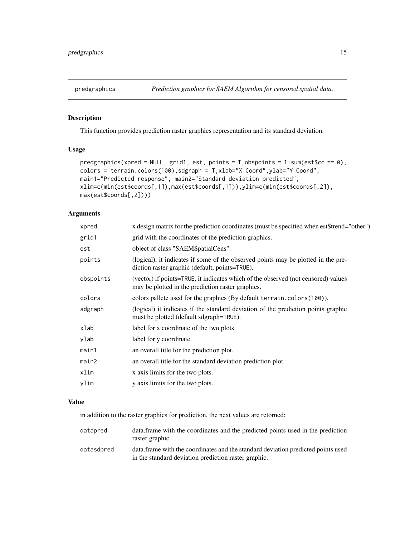<span id="page-14-0"></span>

#### Description

This function provides prediction raster graphics representation and its standard deviation.

## Usage

```
predgraphics(xpred = NULL, grid1, est, points = T,obspoints = 1:sum(est$cc == 0),
colors = terrain.colors(100),sdgraph = T,xlab="X Coord",ylab="Y Coord",
main1="Predicted response", main2="Standard deviation predicted",
xlim=c(min(est$coords[,1]),max(est$coords[,1])),ylim=c(min(est$coords[,2]),
max(est$coords[,2])))
```
## Arguments

| xpred     | x design matrix for the prediction coordinates (must be specified when est \$trend="other").                                           |
|-----------|----------------------------------------------------------------------------------------------------------------------------------------|
| grid1     | grid with the coordinates of the prediction graphics.                                                                                  |
| est       | object of class "SAEMSpatialCens".                                                                                                     |
| points    | (logical), it indicates if some of the observed points may be plotted in the pre-<br>diction raster graphic (default, points=TRUE).    |
| obspoints | (vector) if points=TRUE, it indicates which of the observed (not censored) values<br>may be plotted in the prediction raster graphics. |
| colors    | colors pallete used for the graphics (By default terrain.colors(100)).                                                                 |
| sdgraph   | (logical) it indicates if the standard deviation of the prediction points graphic<br>must be plotted (default sdgraph=TRUE).           |
| xlab      | label for x coordinate of the two plots.                                                                                               |
| ylab      | label for y coordinate.                                                                                                                |
| main1     | an overall title for the prediction plot.                                                                                              |
| main2     | an overall title for the standard deviation prediction plot.                                                                           |
| xlim      | x axis limits for the two plots.                                                                                                       |
| ylim      | y axis limits for the two plots.                                                                                                       |
|           |                                                                                                                                        |

## Value

in addition to the raster graphics for prediction, the next values are retorned:

| datapred   | data. frame with the coordinates and the predicted points used in the prediction<br>raster graphic.                                       |
|------------|-------------------------------------------------------------------------------------------------------------------------------------------|
| datasdpred | data. frame with the coordinates and the standard deviation predicted points used<br>in the standard deviation prediction raster graphic. |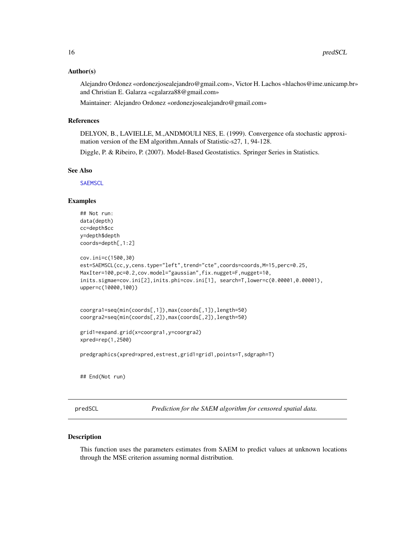#### <span id="page-15-0"></span>Author(s)

Alejandro Ordonez «ordonezjosealejandro@gmail.com», Victor H. Lachos «hlachos@ime.unicamp.br» and Christian E. Galarza «cgalarza88@gmail.com»

Maintainer: Alejandro Ordonez «ordonezjosealejandro@gmail.com»

## References

DELYON, B., LAVIELLE, M.,ANDMOULI NES, E. (1999). Convergence ofa stochastic approximation version of the EM algorithm.Annals of Statistic-s27, 1, 94-128.

Diggle, P. & Ribeiro, P. (2007). Model-Based Geostatistics. Springer Series in Statistics.

#### See Also

**[SAEMSCL](#page-19-1)** 

#### Examples

```
## Not run:
data(depth)
cc=depth$cc
y=depth$depth
coords=depth[,1:2]
cov.ini=c(1500,30)
est=SAEMSCL(cc,y,cens.type="left",trend="cte",coords=coords,M=15,perc=0.25,
MaxIter=100,pc=0.2,cov.model="gaussian",fix.nugget=F,nugget=10,
inits.sigmae=cov.ini[2],inits.phi=cov.ini[1], search=T,lower=c(0.00001,0.00001),
upper=c(10000,100))
coorgra1=seq(min(coords[,1]),max(coords[,1]),length=50)
coorgra2=seq(min(coords[,2]),max(coords[,2]),length=50)
grid1=expand.grid(x=coorgra1,y=coorgra2)
xpred=rep(1,2500)
predgraphics(xpred=xpred,est=est,grid1=grid1,points=T,sdgraph=T)
## End(Not run)
```
predSCL *Prediction for the SAEM algorithm for censored spatial data.*

#### Description

This function uses the parameters estimates from SAEM to predict values at unknown locations through the MSE criterion assuming normal distribution.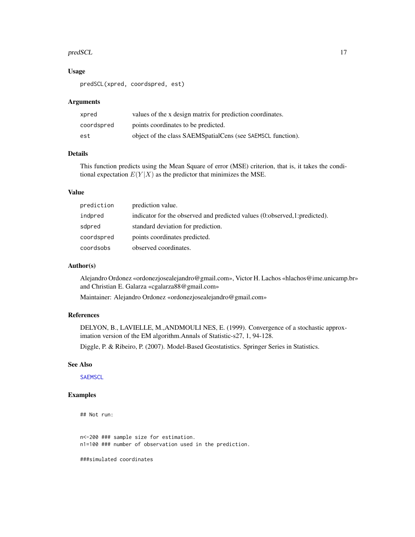#### <span id="page-16-0"></span>predSCL 27 and 27 and 27 and 27 and 27 and 27 and 27 and 27 and 27 and 27 and 27 and 27 and 27 and 27 and 27 and 27 and 27 and 27 and 27 and 27 and 27 and 27 and 27 and 27 and 27 and 27 and 27 and 27 and 27 and 27 and 27 a

#### Usage

predSCL(xpred, coordspred, est)

#### Arguments

| xpred      | values of the x design matrix for prediction coordinates.     |
|------------|---------------------------------------------------------------|
| coordspred | points coordinates to be predicted.                           |
| est        | object of the class SAEMS patial Cens (see SAEMSCL function). |

## Details

This function predicts using the Mean Square of error (MSE) criterion, that is, it takes the conditional expectation  $E(Y|X)$  as the predictor that minimizes the MSE.

## Value

| prediction | prediction value.                                                         |
|------------|---------------------------------------------------------------------------|
| indpred    | indicator for the observed and predicted values (0:observed,1:predicted). |
| sdpred     | standard deviation for prediction.                                        |
| coordspred | points coordinates predicted.                                             |
| coordsobs  | observed coordinates.                                                     |

## Author(s)

Alejandro Ordonez «ordonezjosealejandro@gmail.com», Victor H. Lachos «hlachos@ime.unicamp.br» and Christian E. Galarza «cgalarza88@gmail.com»

Maintainer: Alejandro Ordonez «ordonezjosealejandro@gmail.com»

#### References

DELYON, B., LAVIELLE, M.,ANDMOULI NES, E. (1999). Convergence of a stochastic approximation version of the EM algorithm.Annals of Statistic-s27, 1, 94-128.

Diggle, P. & Ribeiro, P. (2007). Model-Based Geostatistics. Springer Series in Statistics.

## See Also

**[SAEMSCL](#page-19-1)** 

## Examples

```
## Not run:
```
n<-200 ### sample size for estimation. n1=100 ### number of observation used in the prediction.

###simulated coordinates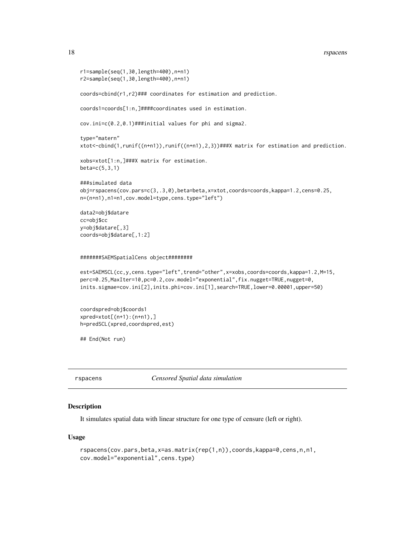#### <span id="page-17-0"></span>18 rspacens and the state of the state of the state of the state of the state of the state of the state of the state of the state of the state of the state of the state of the state of the state of the state of the state o

```
r1=sample(seq(1,30,length=400),n+n1)
r2=sample(seq(1,30,length=400),n+n1)
coords=cbind(r1,r2)### coordinates for estimation and prediction.
coords1=coords[1:n,]####coordinates used in estimation.
cov.ini=c(0.2,0.1)###initial values for phi and sigma2.
type="matern"
xtot<-cbind(1,runif((n+n1)),runif((n+n1),2,3))###X matrix for estimation and prediction.
xobs=xtot[1:n,]###X matrix for estimation.
beta=c(5,3,1)
###simulated data
obj=rspacens(cov.pars=c(3,.3,0),beta=beta,x=xtot,coords=coords,kappa=1.2,cens=0.25,
n=(n+n1),n1=n1,cov.model=type,cens.type="left")
data2=obj$datare
cc=obj$cc
y=obj$datare[,3]
coords=obj$datare[,1:2]
#######SAEMSpatialCens object########
est=SAEMSCL(cc,y,cens.type="left",trend="other",x=xobs,coords=coords,kappa=1.2,M=15,
perc=0.25,MaxIter=10,pc=0.2,cov.model="exponential",fix.nugget=TRUE,nugget=0,
inits.sigmae=cov.ini[2],inits.phi=cov.ini[1],search=TRUE,lower=0.00001,upper=50)
coordspred=obj$coords1
xpred=xtot[(n+1):(n+n1),]
h=predSCL(xpred,coordspred,est)
## End(Not run)
```
#### Description

It simulates spatial data with linear structure for one type of censure (left or right).

rspacens *Censored Spatial data simulation*

## Usage

```
rspacens(cov.pars,beta,x=as.matrix(rep(1,n)),coords,kappa=0,cens,n,n1,
cov.model="exponential",cens.type)
```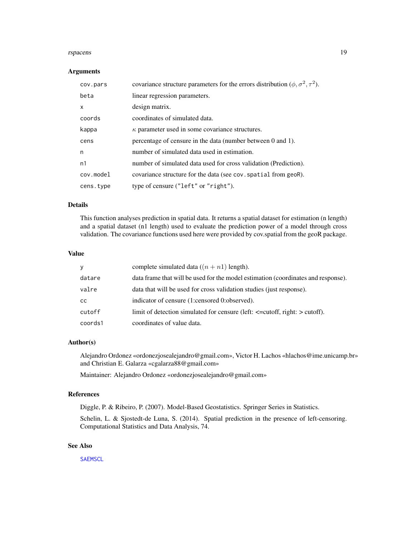#### <span id="page-18-0"></span>rspacens and the contract of the contract of the contract of the contract of the contract of the contract of the contract of the contract of the contract of the contract of the contract of the contract of the contract of t

#### Arguments

| cov.pars  | covariance structure parameters for the errors distribution ( $\phi$ , $\sigma^2$ , $\tau^2$ ). |
|-----------|-------------------------------------------------------------------------------------------------|
| beta      | linear regression parameters.                                                                   |
| X         | design matrix.                                                                                  |
| coords    | coordinates of simulated data.                                                                  |
| kappa     | $\kappa$ parameter used in some covariance structures.                                          |
| cens      | percentage of censure in the data (number between 0 and 1).                                     |
| n         | number of simulated data used in estimation.                                                    |
| n1        | number of simulated data used for cross validation (Prediction).                                |
| cov.model | covariance structure for the data (see cov. spatial from geoR).                                 |
| cens.type | type of censure ("left" or "right").                                                            |

## Details

This function analyses prediction in spatial data. It returns a spatial dataset for estimation (n length) and a spatial dataset (n1 length) used to evaluate the prediction power of a model through cross validation. The covariance functions used here were provided by cov.spatial from the geoR package.

## Value

| y       | complete simulated data $((n + n1)$ length).                                       |
|---------|------------------------------------------------------------------------------------|
| datare  | data frame that will be used for the model estimation (coordinates and response).  |
| valre   | data that will be used for cross validation studies (just response).               |
| сc      | indicator of censure (1:censored 0:observed).                                      |
| cutoff  | limit of detection simulated for censure (left: $\le$ =cutoff, right: $>$ cutoff). |
| coords1 | coordinates of value data.                                                         |

## Author(s)

Alejandro Ordonez «ordonezjosealejandro@gmail.com», Victor H. Lachos «hlachos@ime.unicamp.br» and Christian E. Galarza «cgalarza88@gmail.com»

Maintainer: Alejandro Ordonez «ordonezjosealejandro@gmail.com»

#### References

Diggle, P. & Ribeiro, P. (2007). Model-Based Geostatistics. Springer Series in Statistics.

Schelin, L. & Sjostedt-de Luna, S. (2014). Spatial prediction in the presence of left-censoring. Computational Statistics and Data Analysis, 74.

## See Also

**[SAEMSCL](#page-19-1)**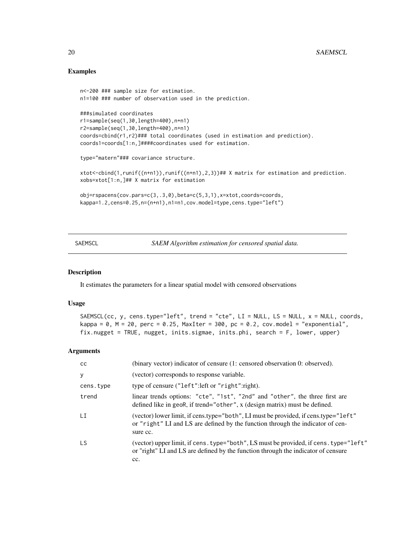## Examples

```
n<-200 ### sample size for estimation.
n1=100 ### number of observation used in the prediction.
###simulated coordinates
r1=sample(seq(1,30,length=400),n+n1)
r2=sample(seq(1,30,length=400),n+n1)
coords=cbind(r1,r2)### total coordinates (used in estimation and prediction).
coords1=coords[1:n,]####coordinates used for estimation.
type="matern"### covariance structure.
xtot<-cbind(1,runif((n+n1)),runif((n+n1),2,3))## X matrix for estimation and prediction.
xobs=xtot[1:n,]## X matrix for estimation
obj=rspacens(cov.pars=c(3,.3,0),beta=c(5,3,1),x=xtot,coords=coords,
kappa=1.2,cens=0.25,n=(n+n1),n1=n1,cov.model=type,cens.type="left")
```
<span id="page-19-1"></span>

SAEMSCL *SAEM Algorithm estimation for censored spatial data.*

#### **Description**

It estimates the parameters for a linear spatial model with censored observations

#### Usage

```
SAEMSCL(cc, y, cens.type="left", trend = "cte", LI = NULL, LS = NULL, x = NULL, coords,
kappa = 0, M = 20, perc = 0.25, MaxIter = 300, pc = 0.2, cov.model = "exponential",
fix.nugget = TRUE, nugget, inits.sigmae, inits.phi, search = F, lower, upper)
```
#### Arguments

| cc        | (binary vector) indicator of censure (1: censored observation 0: observed).                                                                                                       |
|-----------|-----------------------------------------------------------------------------------------------------------------------------------------------------------------------------------|
| У         | (vector) corresponds to response variable.                                                                                                                                        |
| cens.type | type of censure ("left": left or "right": right).                                                                                                                                 |
| trend     | linear trends options: "cte", "1st", "2nd" and "other", the three first are<br>defined like in geoR, if trend="other", $x$ (design matrix) must be defined.                       |
| LI        | (vector) lower limit, if cens.type="both", LI must be provided, if cens.type="left"<br>or "right" LI and LS are defined by the function through the indicator of cen-<br>sure cc. |
| LS.       | (vector) upper limit, if cens. type="both", LS must be provided, if cens. type="left"<br>or "right" LI and LS are defined by the function through the indicator of censure<br>cc. |

<span id="page-19-0"></span>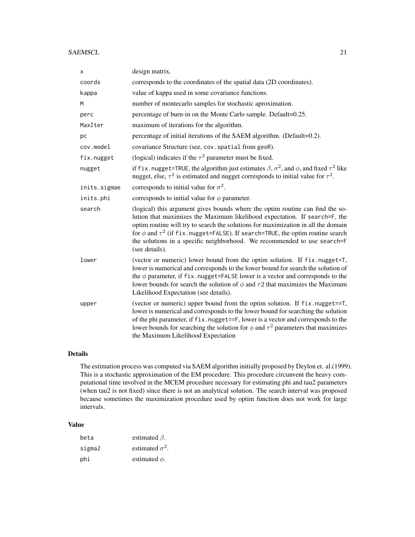#### SAEMSCL 21

| X            | design matrix.                                                                                                                                                                                                                                                                                                                                                                                                                             |
|--------------|--------------------------------------------------------------------------------------------------------------------------------------------------------------------------------------------------------------------------------------------------------------------------------------------------------------------------------------------------------------------------------------------------------------------------------------------|
| coords       | corresponds to the coordinates of the spatial data (2D coordinates).                                                                                                                                                                                                                                                                                                                                                                       |
| kappa        | value of kappa used in some covariance functions.                                                                                                                                                                                                                                                                                                                                                                                          |
| M            | number of montecarlo samples for stochastic aproximation.                                                                                                                                                                                                                                                                                                                                                                                  |
| perc         | percentage of burn-in on the Monte Carlo sample. Default=0.25.                                                                                                                                                                                                                                                                                                                                                                             |
| MaxIter      | maximum of iterations for the algorithm.                                                                                                                                                                                                                                                                                                                                                                                                   |
| pc           | percentage of initial iterations of the SAEM algorithm. (Default=0.2).                                                                                                                                                                                                                                                                                                                                                                     |
| cov.model    | covariance Structure (see, cov. spatial from geoR).                                                                                                                                                                                                                                                                                                                                                                                        |
| fix.nugget   | (logical) indicates if the $\tau^2$ parameter must be fixed.                                                                                                                                                                                                                                                                                                                                                                               |
| nugget       | if fix. nugget=TRUE, the algorithm just estimates $\beta$ , $\sigma^2$ , and $\phi$ , and fixed $\tau^2$ like<br>nugget, else, $\tau^2$ is estimated and nugget corresponds to initial value for $\tau^2$ .                                                                                                                                                                                                                                |
| inits.sigmae | corresponds to initial value for $\sigma^2$ .                                                                                                                                                                                                                                                                                                                                                                                              |
| inits.phi    | corresponds to initial value for $\phi$ parameter.                                                                                                                                                                                                                                                                                                                                                                                         |
| search       | (logical) this argument gives bounds where the optim routine can find the so-<br>lution that maximizes the Maximum likelihood expectation. If search=F, the<br>optim routine will try to search the solutions for maximization in all the domain<br>for $\phi$ and $\tau^2$ (if fix. nugget=FALSE). If search=TRUE, the optim routine search<br>the solutions in a specific neighborhood. We recommended to use search=F<br>(see details). |
| lower        | (vector or numeric) lower bound from the optim solution. If fix.nugget=T,<br>lower is numerical and corresponds to the lower bound for search the solution of<br>the $\phi$ parameter, if fix. nugget=FALSE lower is a vector and corresponds to the<br>lower bounds for search the solution of $\phi$ and $\tau$ 2 that maximizes the Maximum<br>Likelihood Expectation (see details).                                                    |
| upper        | (vector or numeric) upper bound from the optim solution. If fix.nugget==T,<br>lower is numerical and corresponds to the lower bound for searching the solution<br>of the phi parameter, if fix. nugget==F, lower is a vector and corresponds to the<br>lower bounds for searching the solution for $\phi$ and $\tau^2$ parameters that maximizes<br>the Maximum Likelihood Expectation                                                     |

#### Details

The estimation process was computed via SAEM algorithm initially proposed by Deylon et. al.(1999). This is a stochastic approximation of the EM procedure. This procedure circunvent the heavy computational time involved in the MCEM procedure necessary for estimating phi and tau2 parameters (when tau2 is not fixed) since there is not an analytical solution. The search interval was proposed because sometimes the maximization procedure used by optim function does not work for large intervals.

## Value

| beta   | estimated $\beta$ .    |
|--------|------------------------|
| sigma2 | estimated $\sigma^2$ . |
| phi    | estimated $\phi$ .     |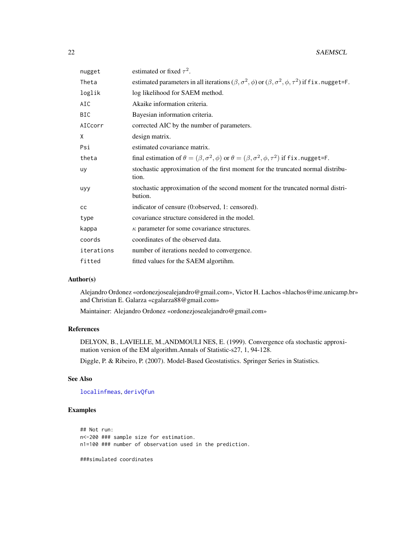<span id="page-21-0"></span>

| nugget     | estimated or fixed $\tau^2$ .                                                                                           |
|------------|-------------------------------------------------------------------------------------------------------------------------|
| Theta      | estimated parameters in all iterations $(\beta, \sigma^2, \phi)$ or $(\beta, \sigma^2, \phi, \tau^2)$ if fix. nugget=F. |
| loglik     | log likelihood for SAEM method.                                                                                         |
| AIC        | Akaike information criteria.                                                                                            |
| <b>BIC</b> | Bayesian information criteria.                                                                                          |
| AICcorr    | corrected AIC by the number of parameters.                                                                              |
| X          | design matrix.                                                                                                          |
| Psi        | estimated covariance matrix.                                                                                            |
| theta      | final estimation of $\theta = (\beta, \sigma^2, \phi)$ or $\theta = (\beta, \sigma^2, \phi, \tau^2)$ if fix. nugget=F.  |
| uy         | stochastic approximation of the first moment for the truncated normal distribu-<br>tion.                                |
| uyy        | stochastic approximation of the second moment for the truncated normal distri-<br>bution.                               |
| cc         | indicator of censure (0:observed, 1: censored).                                                                         |
| type       | covariance structure considered in the model.                                                                           |
| kappa      | $\kappa$ parameter for some covariance structures.                                                                      |
| coords     | coordinates of the observed data.                                                                                       |
| iterations | number of iterations needed to convergence.                                                                             |
| fitted     | fitted values for the SAEM algortihm.                                                                                   |
|            |                                                                                                                         |

## Author(s)

Alejandro Ordonez «ordonezjosealejandro@gmail.com», Victor H. Lachos «hlachos@ime.unicamp.br» and Christian E. Galarza «cgalarza88@gmail.com»

Maintainer: Alejandro Ordonez «ordonezjosealejandro@gmail.com»

## References

DELYON, B., LAVIELLE, M.,ANDMOULI NES, E. (1999). Convergence ofa stochastic approximation version of the EM algorithm.Annals of Statistic-s27, 1, 94-128.

Diggle, P. & Ribeiro, P. (2007). Model-Based Geostatistics. Springer Series in Statistics.

## See Also

[localinfmeas](#page-10-1), [derivQfun](#page-7-1)

## Examples

```
## Not run:
n<-200 ### sample size for estimation.
n1=100 ### number of observation used in the prediction.
```
###simulated coordinates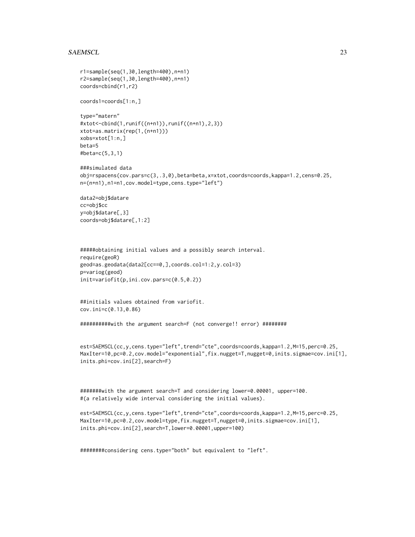#### SAEMSCL 23

```
r1=sample(seq(1,30,length=400),n+n1)
r2=sample(seq(1,30,length=400),n+n1)
coords=cbind(r1,r2)
coords1=coords[1:n,]
type="matern"
#xtot<-cbind(1,runif((n+n1)),runif((n+n1),2,3))
xtot=as.matrix(rep(1,(n+n1)))
xobs=xtot[1:n,]
beta=5
#beta=c(5,3,1)
###simulated data
obj=rspacens(cov.pars=c(3,.3,0),beta=beta,x=xtot,coords=coords,kappa=1.2,cens=0.25,
n=(n+n1),n1=n1,cov.model=type,cens.type="left")
data2=obj$datare
cc=obj$cc
y=obj$datare[,3]
coords=obj$datare[,1:2]
#####obtaining initial values and a possibly search interval.
```

```
require(geoR)
geod=as.geodata(data2[cc==0,],coords.col=1:2,y.col=3)
p=variog(geod)
init=variofit(p,ini.cov.pars=c(0.5,0.2))
```
##initials values obtained from variofit. cov.ini=c(0.13,0.86)

##########with the argument search=F (not converge!! error) ########

```
est=SAEMSCL(cc,y,cens.type="left",trend="cte",coords=coords,kappa=1.2,M=15,perc=0.25,
MaxIter=10,pc=0.2,cov.model="exponential",fix.nugget=T,nugget=0,inits.sigmae=cov.ini[1],
inits.phi=cov.ini[2],search=F)
```
#######with the argument search=T and considering lower=0.00001, upper=100. #(a relatively wide interval considering the initial values).

```
est=SAEMSCL(cc,y,cens.type="left",trend="cte",coords=coords,kappa=1.2,M=15,perc=0.25,
MaxIter=10,pc=0.2,cov.model=type,fix.nugget=T,nugget=0,inits.sigmae=cov.ini[1],
inits.phi=cov.ini[2],search=T,lower=0.00001,upper=100)
```
########considering cens.type="both" but equivalent to "left".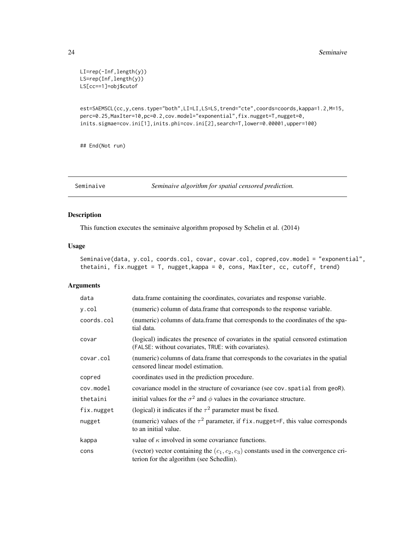```
LI=rep(-Inf,length(y))
LS=rep(Inf,length(y))
LS[cc==1]=obj$cutof
```

```
est=SAEMSCL(cc,y,cens.type="both",LI=LI,LS=LS,trend="cte",coords=coords,kappa=1.2,M=15,
perc=0.25,MaxIter=10,pc=0.2,cov.model="exponential",fix.nugget=T,nugget=0,
inits.sigmae=cov.ini[1],inits.phi=cov.ini[2],search=T,lower=0.00001,upper=100)
```
## End(Not run)

Seminaive *Seminaive algorithm for spatial censored prediction.*

#### Description

This function executes the seminaive algorithm proposed by Schelin et al. (2014)

## Usage

```
Seminaive(data, y.col, coords.col, covar, covar.col, copred,cov.model = "exponential",
thetaini, fix.nugget = T, nugget,kappa = 0, cons, MaxIter, cc, cutoff, trend)
```
## Arguments

| data       | data. frame containing the coordinates, covariates and response variable.                                                                |
|------------|------------------------------------------------------------------------------------------------------------------------------------------|
| y.col      | (numeric) column of data.frame that corresponds to the response variable.                                                                |
| coords.col | (numeric) columns of data.frame that corresponds to the coordinates of the spa-<br>tial data.                                            |
| covar      | (logical) indicates the presence of covariates in the spatial censored estimation<br>(FALSE: without covariates, TRUE: with covariates). |
| covar.col  | (numeric) columns of data.frame that corresponds to the covariates in the spatial<br>censored linear model estimation.                   |
| copred     | coordinates used in the prediction procedure.                                                                                            |
| cov.model  | covariance model in the structure of covariance (see cov. spatial from geoR).                                                            |
| thetaini   | initial values for the $\sigma^2$ and $\phi$ values in the covariance structure.                                                         |
| fix.nugget | (logical) it indicates if the $\tau^2$ parameter must be fixed.                                                                          |
| nugget     | (numeric) values of the $\tau^2$ parameter, if fix. nugget=F, this value corresponds<br>to an initial value.                             |
| kappa      | value of $\kappa$ involved in some covariance functions.                                                                                 |
| cons       | (vector) vector containing the $(c_1, c_2, c_3)$ constants used in the convergence cri-<br>terion for the algorithm (see Schedlin).      |

<span id="page-23-0"></span>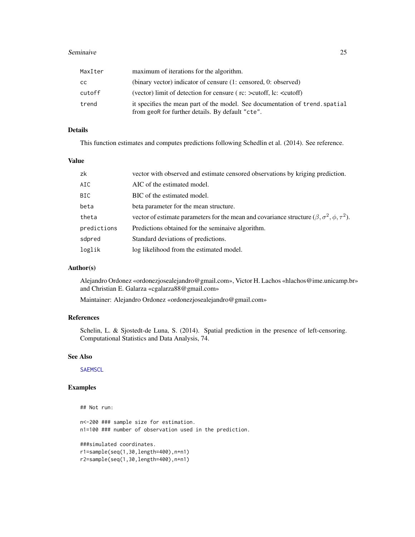#### <span id="page-24-0"></span>Seminaive 25

| MaxIter | maximum of iterations for the algorithm.                                                                                         |
|---------|----------------------------------------------------------------------------------------------------------------------------------|
| СC      | (binary vector) indicator of censure (1: censored, 0: observed)                                                                  |
| cutoff  | (vector) limit of detection for censure (rc: $>$ cutoff, lc: $\lt$ cutoff)                                                       |
| trend   | it specifies the mean part of the model. See documentation of trend, spatial<br>from geoR for further details. By default "cte". |

## Details

This function estimates and computes predictions following Schedlin et al. (2014). See reference.

## Value

| zk          | vector with observed and estimate censored observations by kriging prediction.                                    |
|-------------|-------------------------------------------------------------------------------------------------------------------|
| AIC         | AIC of the estimated model.                                                                                       |
| <b>BIC</b>  | BIC of the estimated model.                                                                                       |
| beta        | beta parameter for the mean structure.                                                                            |
| theta       | vector of estimate parameters for the mean and covariance structure ( $\beta$ , $\sigma^2$ , $\phi$ , $\tau^2$ ). |
| predictions | Predictions obtained for the seminaive algorithm.                                                                 |
| sdpred      | Standard deviations of predictions.                                                                               |
| loglik      | log likelihood from the estimated model.                                                                          |

## Author(s)

Alejandro Ordonez «ordonezjosealejandro@gmail.com», Victor H. Lachos «hlachos@ime.unicamp.br» and Christian E. Galarza «cgalarza88@gmail.com»

Maintainer: Alejandro Ordonez «ordonezjosealejandro@gmail.com»

## References

Schelin, L. & Sjostedt-de Luna, S. (2014). Spatial prediction in the presence of left-censoring. Computational Statistics and Data Analysis, 74.

## See Also

**[SAEMSCL](#page-19-1)** 

## Not run:

## Examples

```
n<-200 ### sample size for estimation.
n1=100 ### number of observation used in the prediction.
###simulated coordinates.
r1=sample(seq(1,30,length=400),n+n1)
r2=sample(seq(1,30,length=400),n+n1)
```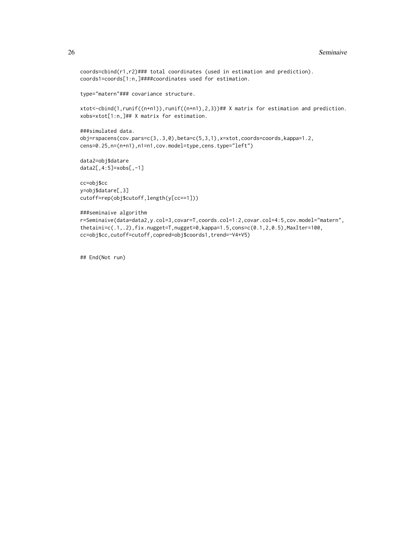```
coords=cbind(r1,r2)### total coordinates (used in estimation and prediction).
coords1=coords[1:n,]####coordinates used for estimation.
```
type="matern"### covariance structure.

xtot<-cbind(1,runif((n+n1)),runif((n+n1),2,3))## X matrix for estimation and prediction. xobs=xtot[1:n,]## X matrix for estimation.

```
###simulated data.
obj=rspacens(cov.pars=c(3,.3,0),beta=c(5,3,1),x=xtot,coords=coords,kappa=1.2,
cens=0.25,n=(n+n1),n1=n1,cov.model=type,cens.type="left")
```
data2=obj\$datare data2[,4:5]=xobs[,-1]

```
cc=obj$cc
y=obj$datare[,3]
cutoff=rep(obj$cutoff,length(y[cc==1]))
```

```
###seminaive algorithm
r=Seminaive(data=data2,y.col=3,covar=T,coords.col=1:2,covar.col=4:5,cov.model="matern",
thetaini=c(.1,.2),fix.nugget=T,nugget=0,kappa=1.5,cons=c(0.1,2,0.5),MaxIter=100,
cc=obj$cc,cutoff=cutoff,copred=obj$coords1,trend=~V4+V5)
```
## End(Not run)